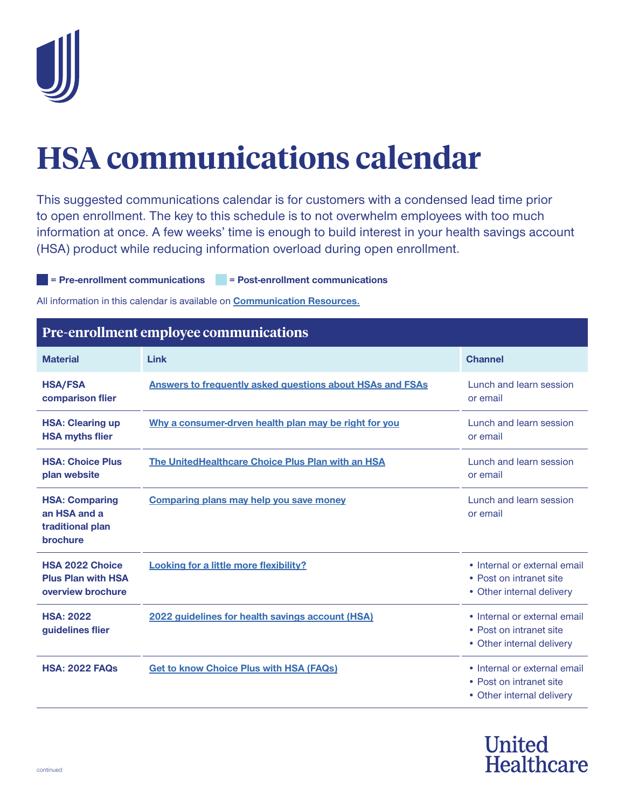

## **HSA communications calendar**

This suggested communications calendar is for customers with a condensed lead time prior to open enrollment. The key to this schedule is to not overwhelm employees with too much information at once. A few weeks' time is enough to build interest in your health savings account (HSA) product while reducing information overload during open enrollment.

## **= Pre-enrollment communications = Post-enrollment communications**

All information in this calendar is available on **[Communication Resources.](http://uhc.com/cr)**

| Pre-enrollment employee communications                                   |                                                                  |                                                                                      |  |
|--------------------------------------------------------------------------|------------------------------------------------------------------|--------------------------------------------------------------------------------------|--|
| <b>Material</b>                                                          | Link                                                             | <b>Channel</b>                                                                       |  |
| <b>HSA/FSA</b><br>comparison flier                                       | <b>Answers to frequently asked questions about HSAs and FSAs</b> | Lunch and learn session<br>or email                                                  |  |
| <b>HSA: Clearing up</b><br><b>HSA myths flier</b>                        | Why a consumer-drven health plan may be right for you            | <b>Lunch and learn session</b><br>or email                                           |  |
| <b>HSA: Choice Plus</b><br>plan website                                  | The United Healthcare Choice Plus Plan with an HSA               | Lunch and learn session<br>or email                                                  |  |
| <b>HSA: Comparing</b><br>an HSA and a<br>traditional plan<br>brochure    | <b>Comparing plans may help you save money</b>                   | <b>Lunch and learn session</b><br>or email                                           |  |
| <b>HSA 2022 Choice</b><br><b>Plus Plan with HSA</b><br>overview brochure | <b>Looking for a little more flexibility?</b>                    | • Internal or external email<br>• Post on intranet site<br>• Other internal delivery |  |
| <b>HSA: 2022</b><br>guidelines flier                                     | 2022 guidelines for health savings account (HSA)                 | • Internal or external email<br>• Post on intranet site<br>• Other internal delivery |  |
| <b>HSA: 2022 FAQs</b>                                                    | <b>Get to know Choice Plus with HSA (FAQs)</b>                   | • Internal or external email<br>• Post on intranet site<br>• Other internal delivery |  |

## **United** Healthcare